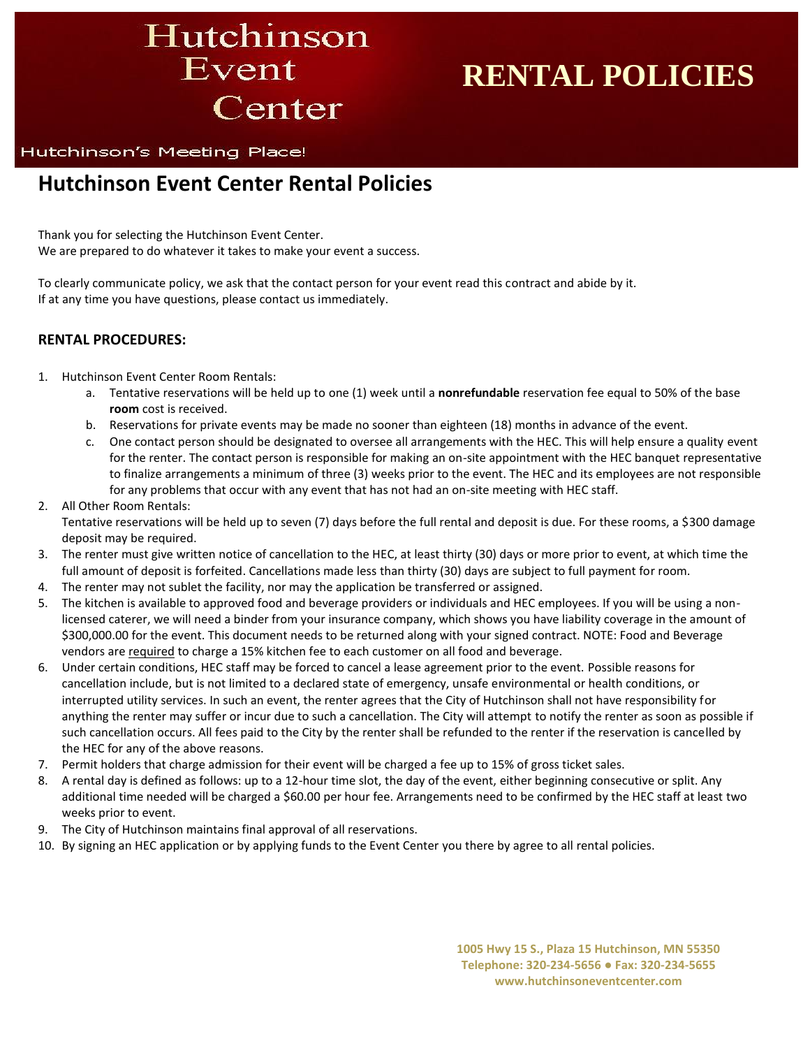Hutchinson Event Center

# **RENTAL POLICIES**

#### Hutchinson's Meeting Place!

## **Hutchinson Event Center Rental Policies**

Thank you for selecting the Hutchinson Event Center. We are prepared to do whatever it takes to make your event a success.

To clearly communicate policy, we ask that the contact person for your event read this contract and abide by it. If at any time you have questions, please contact us immediately.

#### **RENTAL PROCEDURES:**

- 1. Hutchinson Event Center Room Rentals:
	- a. Tentative reservations will be held up to one (1) week until a **nonrefundable** reservation fee equal to 50% of the base **room** cost is received.
	- b. Reservations for private events may be made no sooner than eighteen (18) months in advance of the event.
	- c. One contact person should be designated to oversee all arrangements with the HEC. This will help ensure a quality event for the renter. The contact person is responsible for making an on-site appointment with the HEC banquet representative to finalize arrangements a minimum of three (3) weeks prior to the event. The HEC and its employees are not responsible for any problems that occur with any event that has not had an on-site meeting with HEC staff.
- 2. All Other Room Rentals:

Tentative reservations will be held up to seven (7) days before the full rental and deposit is due. For these rooms, a \$300 damage deposit may be required.

- 3. The renter must give written notice of cancellation to the HEC, at least thirty (30) days or more prior to event, at which time the full amount of deposit is forfeited. Cancellations made less than thirty (30) days are subject to full payment for room.
- 4. The renter may not sublet the facility, nor may the application be transferred or assigned.
- 5. The kitchen is available to approved food and beverage providers or individuals and HEC employees. If you will be using a nonlicensed caterer, we will need a binder from your insurance company, which shows you have liability coverage in the amount of \$300,000.00 for the event. This document needs to be returned along with your signed contract. NOTE: Food and Beverage vendors are required to charge a 15% kitchen fee to each customer on all food and beverage.
- 6. Under certain conditions, HEC staff may be forced to cancel a lease agreement prior to the event. Possible reasons for cancellation include, but is not limited to a declared state of emergency, unsafe environmental or health conditions, or interrupted utility services. In such an event, the renter agrees that the City of Hutchinson shall not have responsibility for anything the renter may suffer or incur due to such a cancellation. The City will attempt to notify the renter as soon as possible if such cancellation occurs. All fees paid to the City by the renter shall be refunded to the renter if the reservation is cancelled by the HEC for any of the above reasons.
- 7. Permit holders that charge admission for their event will be charged a fee up to 15% of gross ticket sales.
- 8. A rental day is defined as follows: up to a 12-hour time slot, the day of the event, either beginning consecutive or split. Any additional time needed will be charged a \$60.00 per hour fee. Arrangements need to be confirmed by the HEC staff at least two weeks prior to event.
- 9. The City of Hutchinson maintains final approval of all reservations.
- 10. By signing an HEC application or by applying funds to the Event Center you there by agree to all rental policies.

**1005 Hwy 15 S., Plaza 15 Hutchinson, MN 55350 Telephone: 320-234-5656 ● Fax: 320-234-5655 www.hutchinsoneventcenter.com**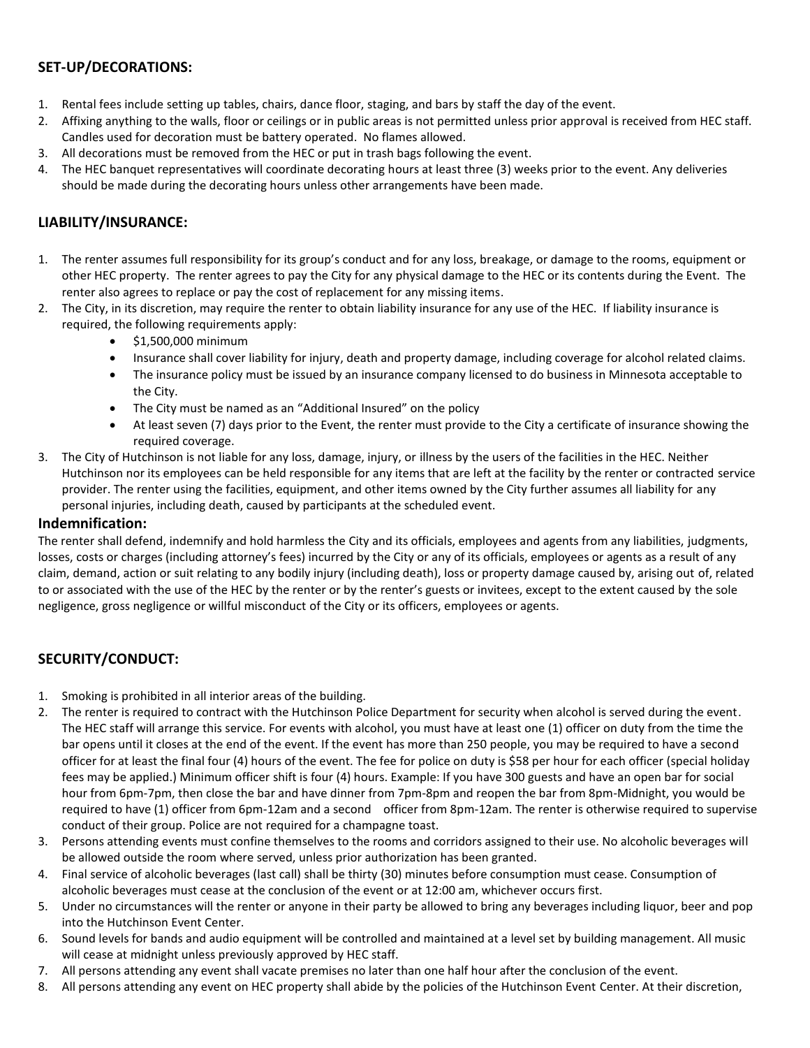#### **SET-UP/DECORATIONS:**

- 1. Rental fees include setting up tables, chairs, dance floor, staging, and bars by staff the day of the event.
- 2. Affixing anything to the walls, floor or ceilings or in public areas is not permitted unless prior approval is received from HEC staff. Candles used for decoration must be battery operated. No flames allowed.
- 3. All decorations must be removed from the HEC or put in trash bags following the event.
- 4. The HEC banquet representatives will coordinate decorating hours at least three (3) weeks prior to the event. Any deliveries should be made during the decorating hours unless other arrangements have been made.

#### **LIABILITY/INSURANCE:**

- 1. The renter assumes full responsibility for its group's conduct and for any loss, breakage, or damage to the rooms, equipment or other HEC property. The renter agrees to pay the City for any physical damage to the HEC or its contents during the Event. The renter also agrees to replace or pay the cost of replacement for any missing items.
- 2. The City, in its discretion, may require the renter to obtain liability insurance for any use of the HEC. If liability insurance is required, the following requirements apply:
	- \$1,500,000 minimum
	- Insurance shall cover liability for injury, death and property damage, including coverage for alcohol related claims.
	- The insurance policy must be issued by an insurance company licensed to do business in Minnesota acceptable to the City.
	- The City must be named as an "Additional Insured" on the policy
	- At least seven (7) days prior to the Event, the renter must provide to the City a certificate of insurance showing the required coverage.
- 3. The City of Hutchinson is not liable for any loss, damage, injury, or illness by the users of the facilities in the HEC. Neither Hutchinson nor its employees can be held responsible for any items that are left at the facility by the renter or contracted service provider. The renter using the facilities, equipment, and other items owned by the City further assumes all liability for any personal injuries, including death, caused by participants at the scheduled event.

#### **Indemnification:**

The renter shall defend, indemnify and hold harmless the City and its officials, employees and agents from any liabilities, judgments, losses, costs or charges (including attorney's fees) incurred by the City or any of its officials, employees or agents as a result of any claim, demand, action or suit relating to any bodily injury (including death), loss or property damage caused by, arising out of, related to or associated with the use of the HEC by the renter or by the renter's guests or invitees, except to the extent caused by the sole negligence, gross negligence or willful misconduct of the City or its officers, employees or agents.

### **SECURITY/CONDUCT:**

- 1. Smoking is prohibited in all interior areas of the building.
- 2. The renter is required to contract with the Hutchinson Police Department for security when alcohol is served during the event. The HEC staff will arrange this service. For events with alcohol, you must have at least one (1) officer on duty from the time the bar opens until it closes at the end of the event. If the event has more than 250 people, you may be required to have a second officer for at least the final four (4) hours of the event. The fee for police on duty is \$58 per hour for each officer (special holiday fees may be applied.) Minimum officer shift is four (4) hours. Example: If you have 300 guests and have an open bar for social hour from 6pm-7pm, then close the bar and have dinner from 7pm-8pm and reopen the bar from 8pm-Midnight, you would be required to have (1) officer from 6pm-12am and a second officer from 8pm-12am. The renter is otherwise required to supervise conduct of their group. Police are not required for a champagne toast.
- 3. Persons attending events must confine themselves to the rooms and corridors assigned to their use. No alcoholic beverages will be allowed outside the room where served, unless prior authorization has been granted.
- 4. Final service of alcoholic beverages (last call) shall be thirty (30) minutes before consumption must cease. Consumption of alcoholic beverages must cease at the conclusion of the event or at 12:00 am, whichever occurs first.
- 5. Under no circumstances will the renter or anyone in their party be allowed to bring any beverages including liquor, beer and pop into the Hutchinson Event Center.
- 6. Sound levels for bands and audio equipment will be controlled and maintained at a level set by building management. All music will cease at midnight unless previously approved by HEC staff.
- 7. All persons attending any event shall vacate premises no later than one half hour after the conclusion of the event.
- 8. All persons attending any event on HEC property shall abide by the policies of the Hutchinson Event Center. At their discretion,